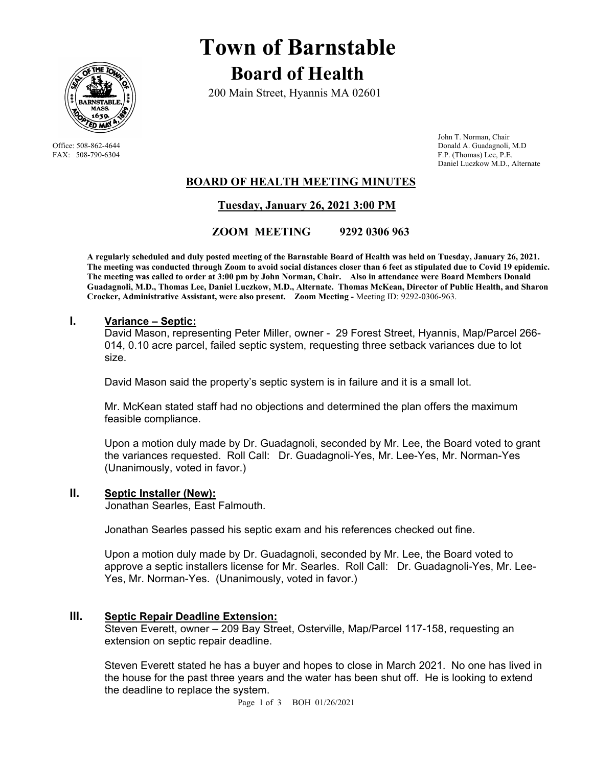

# **Town of Barnstable Board of Health**

200 Main Street, Hyannis MA 02601

 John T. Norman, Chair Office: 508-862-4644 Donald A. Guadagnoli, M.D<br>
FAX: 508-790-6304 F.P. (Thomas) Lee, P.E. F.P. (Thomas) Lee, P.E. Daniel Luczkow M.D., Alternate

## **BOARD OF HEALTH MEETING MINUTES**

 **Tuesday, January 26, 2021 3:00 PM** 

 **ZOOM MEETING 9292 0306 963** 

**A regularly scheduled and duly posted meeting of the Barnstable Board of Health was held on Tuesday, January 26, 2021. The meeting was conducted through Zoom to avoid social distances closer than 6 feet as stipulated due to Covid 19 epidemic. The meeting was called to order at 3:00 pm by John Norman, Chair. Also in attendance were Board Members Donald Guadagnoli, M.D., Thomas Lee, Daniel Luczkow, M.D., Alternate. Thomas McKean, Director of Public Health, and Sharon Crocker, Administrative Assistant, were also present. Zoom Meeting -** Meeting ID: 9292-0306-963.

#### **I. Variance – Septic:**

David Mason, representing Peter Miller, owner - 29 Forest Street, Hyannis, Map/Parcel 266- 014, 0.10 acre parcel, failed septic system, requesting three setback variances due to lot size.

David Mason said the property's septic system is in failure and it is a small lot.

Mr. McKean stated staff had no objections and determined the plan offers the maximum feasible compliance.

Upon a motion duly made by Dr. Guadagnoli, seconded by Mr. Lee, the Board voted to grant the variances requested. Roll Call: Dr. Guadagnoli-Yes, Mr. Lee-Yes, Mr. Norman-Yes (Unanimously, voted in favor.)

#### **II. Septic Installer (New):**

Jonathan Searles, East Falmouth.

Jonathan Searles passed his septic exam and his references checked out fine.

Upon a motion duly made by Dr. Guadagnoli, seconded by Mr. Lee, the Board voted to approve a septic installers license for Mr. Searles. Roll Call: Dr. Guadagnoli-Yes, Mr. Lee-Yes, Mr. Norman-Yes. (Unanimously, voted in favor.)

## **III. Septic Repair Deadline Extension:**

Steven Everett, owner – 209 Bay Street, Osterville, Map/Parcel 117-158, requesting an extension on septic repair deadline.

Steven Everett stated he has a buyer and hopes to close in March 2021. No one has lived in the house for the past three years and the water has been shut off. He is looking to extend the deadline to replace the system.

Page 1 of 3 BOH 01/26/2021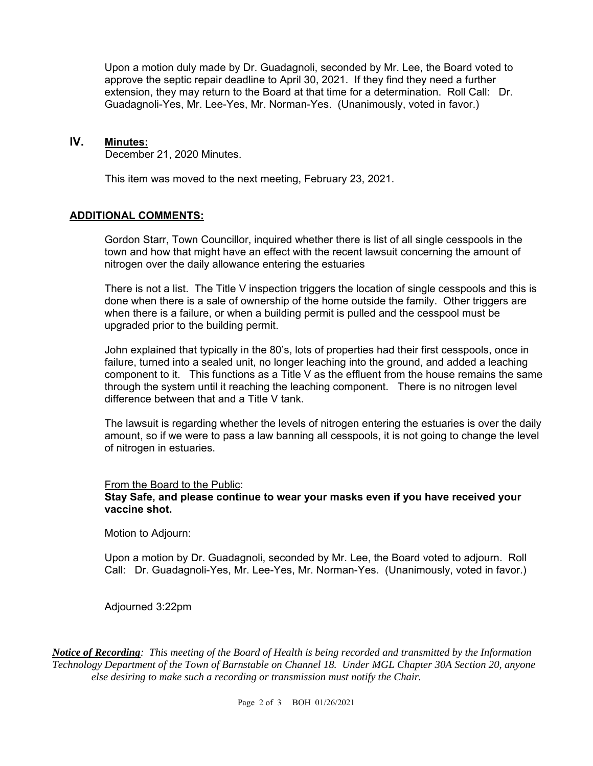Upon a motion duly made by Dr. Guadagnoli, seconded by Mr. Lee, the Board voted to approve the septic repair deadline to April 30, 2021. If they find they need a further extension, they may return to the Board at that time for a determination. Roll Call: Dr. Guadagnoli-Yes, Mr. Lee-Yes, Mr. Norman-Yes. (Unanimously, voted in favor.)

## **IV. Minutes:**

December 21, 2020 Minutes.

This item was moved to the next meeting, February 23, 2021.

## **ADDITIONAL COMMENTS:**

Gordon Starr, Town Councillor, inquired whether there is list of all single cesspools in the town and how that might have an effect with the recent lawsuit concerning the amount of nitrogen over the daily allowance entering the estuaries

There is not a list. The Title V inspection triggers the location of single cesspools and this is done when there is a sale of ownership of the home outside the family. Other triggers are when there is a failure, or when a building permit is pulled and the cesspool must be upgraded prior to the building permit.

John explained that typically in the 80's, lots of properties had their first cesspools, once in failure, turned into a sealed unit, no longer leaching into the ground, and added a leaching component to it. This functions as a Title V as the effluent from the house remains the same through the system until it reaching the leaching component. There is no nitrogen level difference between that and a Title V tank.

The lawsuit is regarding whether the levels of nitrogen entering the estuaries is over the daily amount, so if we were to pass a law banning all cesspools, it is not going to change the level of nitrogen in estuaries.

#### From the Board to the Public:

### **Stay Safe, and please continue to wear your masks even if you have received your vaccine shot.**

Motion to Adjourn:

Upon a motion by Dr. Guadagnoli, seconded by Mr. Lee, the Board voted to adjourn. Roll Call: Dr. Guadagnoli-Yes, Mr. Lee-Yes, Mr. Norman-Yes. (Unanimously, voted in favor.)

Adjourned 3:22pm

*Notice of Recording: This meeting of the Board of Health is being recorded and transmitted by the Information Technology Department of the Town of Barnstable on Channel 18. Under MGL Chapter 30A Section 20, anyone else desiring to make such a recording or transmission must notify the Chair.*